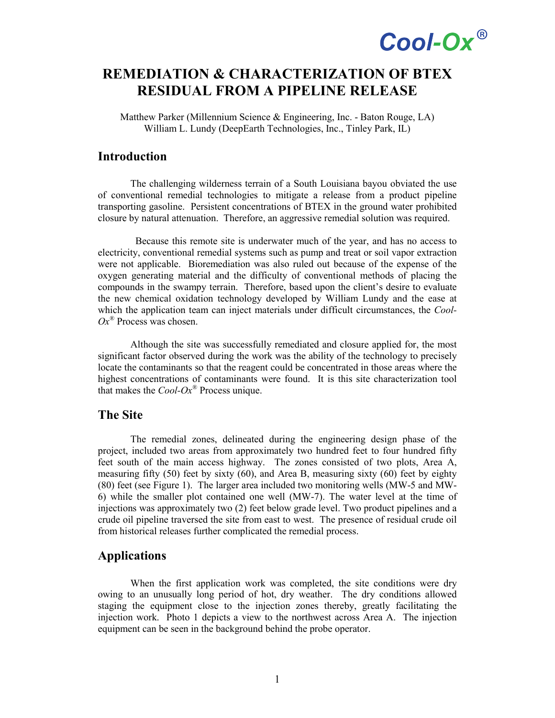# Cool-Ox®

### **REMEDIATION & CHARACTERIZATION OF BTEX RESIDUAL FROM A PIPELINE RELEASE**

Matthew Parker (Millennium Science & Engineering, Inc. - Baton Rouge, LA) William L. Lundy (DeepEarth Technologies, Inc., Tinley Park, IL)

### **Introduction**

The challenging wilderness terrain of a South Louisiana bayou obviated the use of conventional remedial technologies to mitigate a release from a product pipeline transporting gasoline. Persistent concentrations of BTEX in the ground water prohibited closure by natural attenuation. Therefore, an aggressive remedial solution was required.

 Because this remote site is underwater much of the year, and has no access to electricity, conventional remedial systems such as pump and treat or soil vapor extraction were not applicable. Bioremediation was also ruled out because of the expense of the oxygen generating material and the difficulty of conventional methods of placing the compounds in the swampy terrain. Therefore, based upon the client's desire to evaluate the new chemical oxidation technology developed by William Lundy and the ease at which the application team can inject materials under difficult circumstances, the *Cool-Ox®* Process was chosen.

Although the site was successfully remediated and closure applied for, the most significant factor observed during the work was the ability of the technology to precisely locate the contaminants so that the reagent could be concentrated in those areas where the highest concentrations of contaminants were found. It is this site characterization tool that makes the *Cool-Ox®* Process unique.

#### **The Site**

The remedial zones, delineated during the engineering design phase of the project, included two areas from approximately two hundred feet to four hundred fifty feet south of the main access highway. The zones consisted of two plots, Area A, measuring fifty (50) feet by sixty (60), and Area B, measuring sixty (60) feet by eighty (80) feet (see Figure 1). The larger area included two monitoring wells (MW-5 and MW-6) while the smaller plot contained one well (MW-7). The water level at the time of injections was approximately two (2) feet below grade level. Two product pipelines and a crude oil pipeline traversed the site from east to west. The presence of residual crude oil from historical releases further complicated the remedial process.

#### **Applications**

When the first application work was completed, the site conditions were dry owing to an unusually long period of hot, dry weather. The dry conditions allowed staging the equipment close to the injection zones thereby, greatly facilitating the injection work. Photo 1 depicts a view to the northwest across Area A. The injection equipment can be seen in the background behind the probe operator.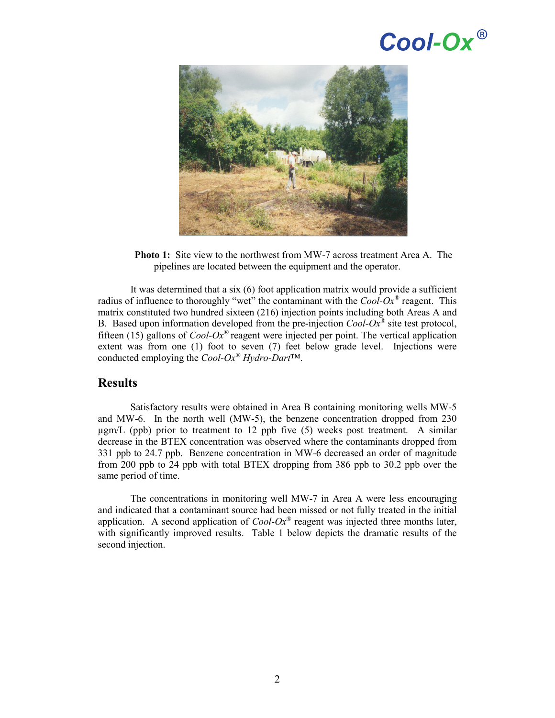# Cool-Ox®



**Photo 1:** Site view to the northwest from MW-7 across treatment Area A. The pipelines are located between the equipment and the operator.

It was determined that a six (6) foot application matrix would provide a sufficient radius of influence to thoroughly "wet" the contaminant with the *Cool-Ox®* reagent. This matrix constituted two hundred sixteen (216) injection points including both Areas A and B. Based upon information developed from the pre-injection  $Cool-Ox^{\otimes}$  site test protocol, fifteen (15) gallons of *Cool-Ox®* reagent were injected per point. The vertical application extent was from one (1) foot to seven (7) feet below grade level. Injections were conducted employing the *Cool-Ox® Hydro-Dart*™.

#### **Results**

Satisfactory results were obtained in Area B containing monitoring wells MW-5 and MW-6. In the north well (MW-5), the benzene concentration dropped from 230  $\mu$ gm/L (ppb) prior to treatment to 12 ppb five (5) weeks post treatment. A similar decrease in the BTEX concentration was observed where the contaminants dropped from 331 ppb to 24.7 ppb. Benzene concentration in MW-6 decreased an order of magnitude from 200 ppb to 24 ppb with total BTEX dropping from 386 ppb to 30.2 ppb over the same period of time.

The concentrations in monitoring well MW-7 in Area A were less encouraging and indicated that a contaminant source had been missed or not fully treated in the initial application. A second application of *Cool-Ox®* reagent was injected three months later, with significantly improved results. Table 1 below depicts the dramatic results of the second injection.